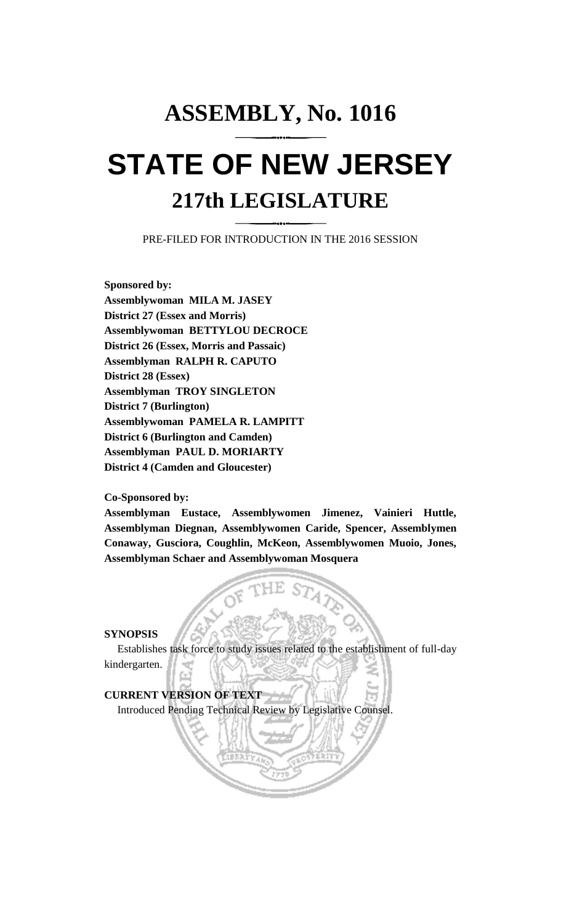## **ASSEMBLY, No. 1016 STATE OF NEW JERSEY 217th LEGISLATURE**

PRE-FILED FOR INTRODUCTION IN THE 2016 SESSION

**Sponsored by: Assemblywoman MILA M. JASEY District 27 (Essex and Morris) Assemblywoman BETTYLOU DECROCE District 26 (Essex, Morris and Passaic) Assemblyman RALPH R. CAPUTO District 28 (Essex) Assemblyman TROY SINGLETON District 7 (Burlington) Assemblywoman PAMELA R. LAMPITT District 6 (Burlington and Camden) Assemblyman PAUL D. MORIARTY District 4 (Camden and Gloucester)**

**Co-Sponsored by:**

**Assemblyman Eustace, Assemblywomen Jimenez, Vainieri Huttle, Assemblyman Diegnan, Assemblywomen Caride, Spencer, Assemblymen Conaway, Gusciora, Coughlin, McKeon, Assemblywomen Muoio, Jones, Assemblyman Schaer and Assemblywoman Mosquera**

**SYNOPSIS**

Establishes task force to study issues related to the establishment of full-day kindergarten.

**CURRENT VERSION OF TEXT**  Introduced Pending Technical Review by Legislative Counsel.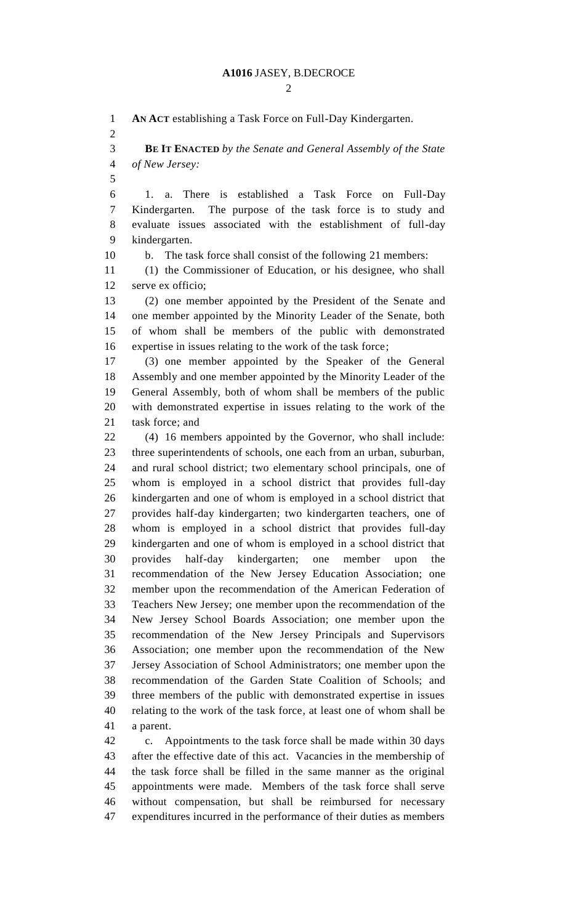$\mathcal{D}_{\mathcal{L}}$ 

 **AN ACT** establishing a Task Force on Full-Day Kindergarten. **BE IT ENACTED** *by the Senate and General Assembly of the State of New Jersey:* 1. a. There is established a Task Force on Full-Day Kindergarten. The purpose of the task force is to study and evaluate issues associated with the establishment of full-day kindergarten. b. The task force shall consist of the following 21 members: (1) the Commissioner of Education, or his designee, who shall serve ex officio; (2) one member appointed by the President of the Senate and one member appointed by the Minority Leader of the Senate, both of whom shall be members of the public with demonstrated expertise in issues relating to the work of the task force; (3) one member appointed by the Speaker of the General Assembly and one member appointed by the Minority Leader of the General Assembly, both of whom shall be members of the public with demonstrated expertise in issues relating to the work of the task force; and (4) 16 members appointed by the Governor, who shall include: three superintendents of schools, one each from an urban, suburban, and rural school district; two elementary school principals, one of whom is employed in a school district that provides full-day kindergarten and one of whom is employed in a school district that provides half-day kindergarten; two kindergarten teachers, one of whom is employed in a school district that provides full-day kindergarten and one of whom is employed in a school district that provides half-day kindergarten; one member upon the recommendation of the New Jersey Education Association; one member upon the recommendation of the American Federation of Teachers New Jersey; one member upon the recommendation of the New Jersey School Boards Association; one member upon the recommendation of the New Jersey Principals and Supervisors Association; one member upon the recommendation of the New Jersey Association of School Administrators; one member upon the recommendation of the Garden State Coalition of Schools; and three members of the public with demonstrated expertise in issues relating to the work of the task force, at least one of whom shall be a parent. c. Appointments to the task force shall be made within 30 days after the effective date of this act. Vacancies in the membership of the task force shall be filled in the same manner as the original appointments were made. Members of the task force shall serve

 without compensation, but shall be reimbursed for necessary expenditures incurred in the performance of their duties as members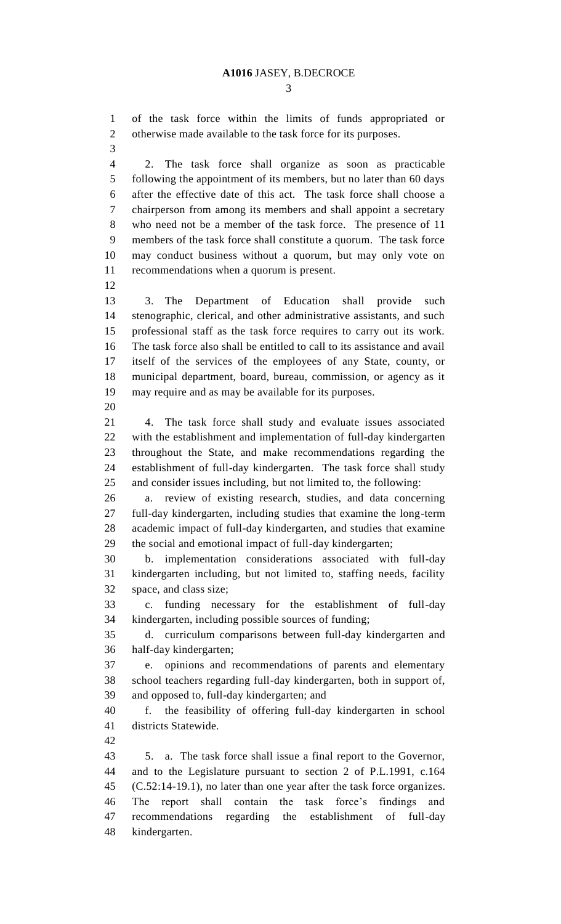of the task force within the limits of funds appropriated or otherwise made available to the task force for its purposes.

 2. The task force shall organize as soon as practicable following the appointment of its members, but no later than 60 days after the effective date of this act. The task force shall choose a chairperson from among its members and shall appoint a secretary who need not be a member of the task force. The presence of 11 members of the task force shall constitute a quorum. The task force may conduct business without a quorum, but may only vote on recommendations when a quorum is present.

 3. The Department of Education shall provide such stenographic, clerical, and other administrative assistants, and such professional staff as the task force requires to carry out its work. The task force also shall be entitled to call to its assistance and avail itself of the services of the employees of any State, county, or municipal department, board, bureau, commission, or agency as it may require and as may be available for its purposes. 

 4. The task force shall study and evaluate issues associated with the establishment and implementation of full-day kindergarten throughout the State, and make recommendations regarding the establishment of full-day kindergarten. The task force shall study and consider issues including, but not limited to, the following:

 a. review of existing research, studies, and data concerning full-day kindergarten, including studies that examine the long-term academic impact of full-day kindergarten, and studies that examine the social and emotional impact of full-day kindergarten;

 b. implementation considerations associated with full-day kindergarten including, but not limited to, staffing needs, facility space, and class size;

 c. funding necessary for the establishment of full-day kindergarten, including possible sources of funding;

 d. curriculum comparisons between full-day kindergarten and half-day kindergarten;

 e. opinions and recommendations of parents and elementary school teachers regarding full-day kindergarten, both in support of, and opposed to, full-day kindergarten; and

 f. the feasibility of offering full-day kindergarten in school districts Statewide.

 5. a. The task force shall issue a final report to the Governor, and to the Legislature pursuant to section 2 of P.L.1991, c.164 (C.52:14-19.1), no later than one year after the task force organizes. The report shall contain the task force's findings and recommendations regarding the establishment of full-day kindergarten.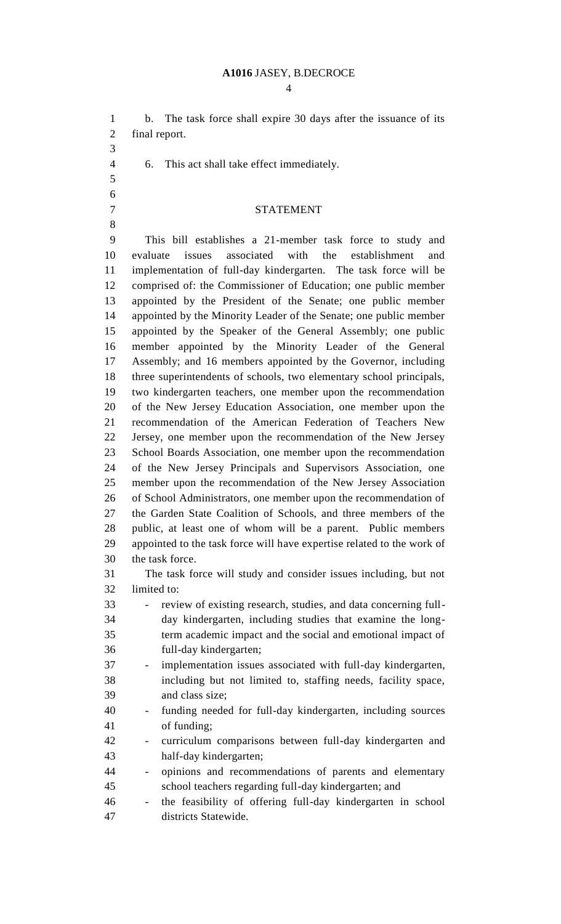$\Delta$ 

 b. The task force shall expire 30 days after the issuance of its final report. 6. This act shall take effect immediately. STATEMENT This bill establishes a 21-member task force to study and evaluate issues associated with the establishment and implementation of full-day kindergarten. The task force will be comprised of: the Commissioner of Education; one public member appointed by the President of the Senate; one public member appointed by the Minority Leader of the Senate; one public member appointed by the Speaker of the General Assembly; one public member appointed by the Minority Leader of the General Assembly; and 16 members appointed by the Governor, including three superintendents of schools, two elementary school principals, two kindergarten teachers, one member upon the recommendation of the New Jersey Education Association, one member upon the recommendation of the American Federation of Teachers New Jersey, one member upon the recommendation of the New Jersey School Boards Association, one member upon the recommendation of the New Jersey Principals and Supervisors Association, one member upon the recommendation of the New Jersey Association of School Administrators, one member upon the recommendation of the Garden State Coalition of Schools, and three members of the public, at least one of whom will be a parent. Public members appointed to the task force will have expertise related to the work of the task force. The task force will study and consider issues including, but not limited to: - review of existing research, studies, and data concerning full- day kindergarten, including studies that examine the long- term academic impact and the social and emotional impact of full-day kindergarten; - implementation issues associated with full-day kindergarten, including but not limited to, staffing needs, facility space, and class size; - funding needed for full-day kindergarten, including sources of funding; - curriculum comparisons between full-day kindergarten and half-day kindergarten; - opinions and recommendations of parents and elementary school teachers regarding full-day kindergarten; and - the feasibility of offering full-day kindergarten in school districts Statewide.